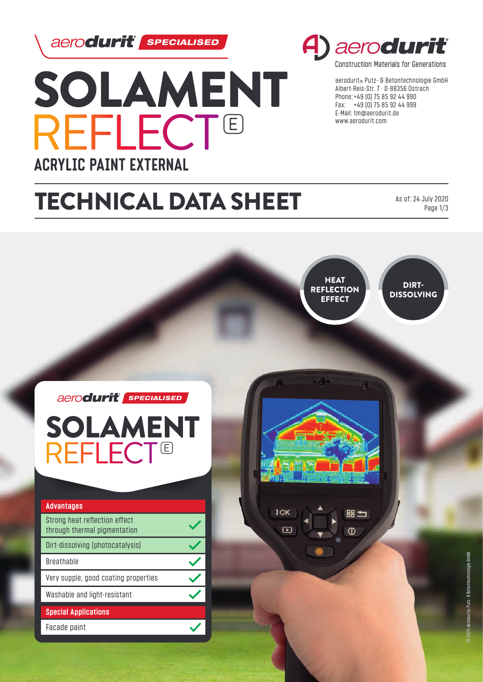aerodurit *sPECIALISED* 



# A) aero**durit**

**Construction Materials for Generations** 

aerodurit® Putz- & Betontechnologie GmbH Albert-Reis-Str. 7 · D-88356 Ostrach Phone: +49 (0) 75 85 92 44 990 Fax: +49 (0) 75 85 92 44 999 E-Mail: tm@aerodurit.de www.aerodurit.com

# TECHNICAL DATA SHEET

As of: 24 July 2020 Page 1/3

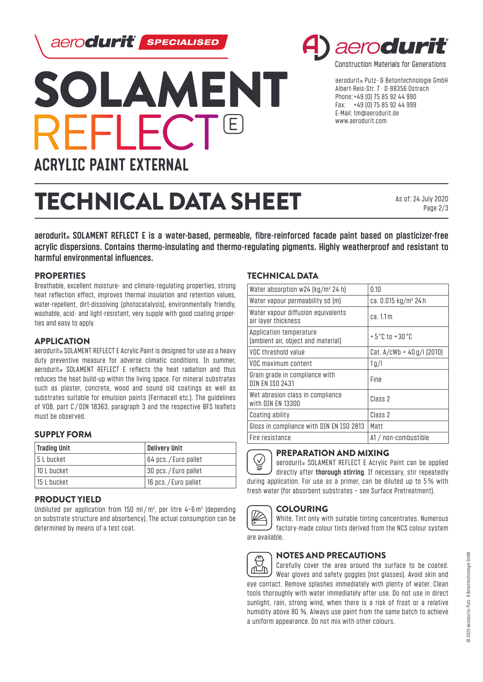aerodurit | **SPECIALISED** 





**Construction Materials for Generations** 

aerodurit® Putz- & Betontechnologie GmbH Albert-Reis-Str. 7 · D-88356 Ostrach Phone: +49 (0) 75 85 92 44 990 Fax: +49 (0) 75 85 92 44 999 E-Mail: tm@aerodurit.de www.aerodurit.com

# TECHNICAL DATA SHEET

As of: 24 July 2020 Page 2/3

**aerodurit® SOLAMENT REFLECT E is a water-based, permeable, fibre-reinforced facade paint based on plasticizer-free acrylic dispersions. Contains thermo-insulating and thermo-regulating pigments. Highly weatherproof and resistant to harmful environmental influences.**

## **PROPERTIES**

Breathable, excellent moisture- and climate-regulating properties, strong heat reflection effect, improves thermal insulation and retention values, water-repellent, dirt-dissolving (photocatalysis), environmentally friendly, washable, acid- and light-resistant, very supple with good coating properties and easy to apply.

### APPLICATION

aerodurit<sup>®</sup> SOLAMENT REFLECT E Acrylic Paint is designed for use as a heavy duty preventive measure for adverse climatic conditions. In summer, aerodurit<sup>®</sup> SOLAMENT REFLECT E reflects the heat radiation and thus reduces the heat build-up within the living space. For mineral substrates such as plaster, concrete, wood and sound old coatings as well as substrates suitable for emulsion paints (Fermacell etc.). The guidelines of VOB, part C / DIN 18363, paragraph 3 and the respective BFS leaflets must be observed.

### SUPPLY FORM

| <b>Trading Unit</b> | <b>Delivery Unit</b> |
|---------------------|----------------------|
| 15 L bucket         | 64 pcs./Euro pallet  |
| 10 L bucket         | 30 pcs./Euro pallet  |
| 115 L bucket        | 16 pcs./Euro pallet  |

#### PRODUCT YIELD

Undiluted per application from 150 ml/m², per litre 4−6m² (depending on substrate structure and absorbency). The actual consumption can be determined by means of a test coat.

### TECHNICAL DATA

| Water absorption $w24$ (kg/m <sup>2</sup> 24 h)               | 0.10                              |
|---------------------------------------------------------------|-----------------------------------|
| Water vapour permeability sd (m)                              | ca. 0.015 kg/m <sup>2</sup> 24 h  |
| Water vapour diffusion equivalents<br>air layer thickness     | ca.11m                            |
| Application temperature<br>(ambient air, object and material) | $+5^{\circ}$ C to $+30^{\circ}$ C |
| VOC threshold value                                           | Cat. $A/cWb = 40q/l$ (2010)       |
| VOC maximum content                                           | 1 <sub>q</sub> /l                 |
| Grain grade in compliance with<br>DIN EN ISO 2431             | <b>Fine</b>                       |
| Wet abrasion class in compliance<br>with DIN FN 13300         | Class <sub>2</sub>                |
| Coating ability                                               | Class <sub>2</sub>                |
| Gloss in compliance with DIN EN ISO 2813                      | Matt                              |
| Fire resistance                                               | A1 / non-combustible              |



 $\bigvee_{i=1}^n$ aerodurit<sup>®</sup> SOLAMENT REFLECT E Acrylic Paint can be applied directly after **thorough stirring**. If necessary, stir repeatedly during application. For use as a primer, can be diluted up to 5% with fresh water (for absorbent substrates − see Surface Pretreatment).



## COLOURING

White. Tint only with suitable tinting concentrates. Numerous factory-made colour tints derived from the NCS colour system are available.



### NOTES AND PRECAUTIONS

Carefully cover the area around the surface to be coated. Wear gloves and safety goggles (not glasses). Avoid skin and eye contact. Remove splashes immediately with plenty of water. Clean tools thoroughly with water immediately after use. Do not use in direct sunlight, rain, strong wind, when there is a risk of frost or a relative humidity above 80 %. Always use paint from the same batch to achieve a uniform appearance. Do not mix with other colours.